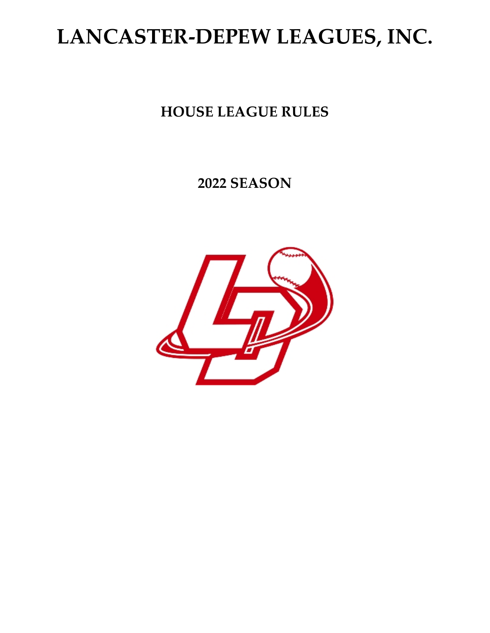# **LANCASTER-DEPEW LEAGUES, INC.**

### **HOUSE LEAGUE RULES**

### **2022 SEASON**

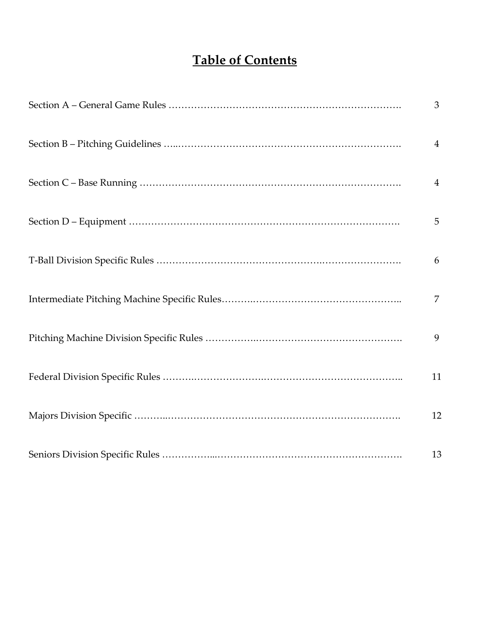### **Table of Contents**

|  | $\mathfrak{Z}$ |
|--|----------------|
|  | $\overline{4}$ |
|  | $\overline{4}$ |
|  | 5              |
|  | 6              |
|  | $\overline{7}$ |
|  | 9              |
|  | 11             |
|  | 12             |
|  | 13             |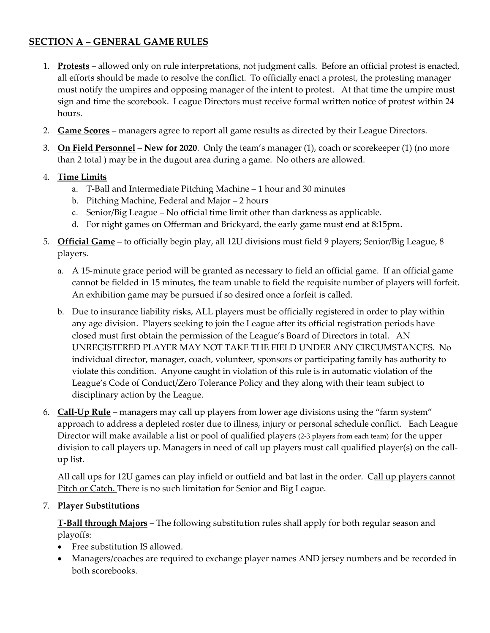#### **SECTION A – GENERAL GAME RULES**

- 1. **Protests** allowed only on rule interpretations, not judgment calls. Before an official protest is enacted, all efforts should be made to resolve the conflict. To officially enact a protest, the protesting manager must notify the umpires and opposing manager of the intent to protest. At that time the umpire must sign and time the scorebook. League Directors must receive formal written notice of protest within 24 hours.
- 2. **Game Scores** managers agree to report all game results as directed by their League Directors.
- 3. **On Field Personnel New for 2020**. Only the team's manager (1), coach or scorekeeper (1) (no more than 2 total ) may be in the dugout area during a game. No others are allowed.
- 4. **Time Limits**
	- a. T-Ball and Intermediate Pitching Machine 1 hour and 30 minutes
	- b. Pitching Machine, Federal and Major 2 hours
	- c. Senior/Big League No official time limit other than darkness as applicable.
	- d. For night games on Offerman and Brickyard, the early game must end at 8:15pm.
- 5. **Official Game** to officially begin play, all 12U divisions must field 9 players; Senior/Big League, 8 players.
	- a. A 15-minute grace period will be granted as necessary to field an official game. If an official game cannot be fielded in 15 minutes, the team unable to field the requisite number of players will forfeit. An exhibition game may be pursued if so desired once a forfeit is called.
	- b. Due to insurance liability risks, ALL players must be officially registered in order to play within any age division. Players seeking to join the League after its official registration periods have closed must first obtain the permission of the League's Board of Directors in total. AN UNREGISTERED PLAYER MAY NOT TAKE THE FIELD UNDER ANY CIRCUMSTANCES. No individual director, manager, coach, volunteer, sponsors or participating family has authority to violate this condition. Anyone caught in violation of this rule is in automatic violation of the League's Code of Conduct/Zero Tolerance Policy and they along with their team subject to disciplinary action by the League.
- 6. **Call-Up Rule** managers may call up players from lower age divisions using the "farm system" approach to address a depleted roster due to illness, injury or personal schedule conflict. Each League Director will make available a list or pool of qualified players (2-3 players from each team) for the upper division to call players up. Managers in need of call up players must call qualified player(s) on the callup list.

All call ups for 12U games can play infield or outfield and bat last in the order. Call up players cannot Pitch or Catch. There is no such limitation for Senior and Big League.

#### 7. **Player Substitutions**

**T-Ball through Majors** – The following substitution rules shall apply for both regular season and playoffs:

- Free substitution IS allowed.
- Managers/coaches are required to exchange player names AND jersey numbers and be recorded in both scorebooks.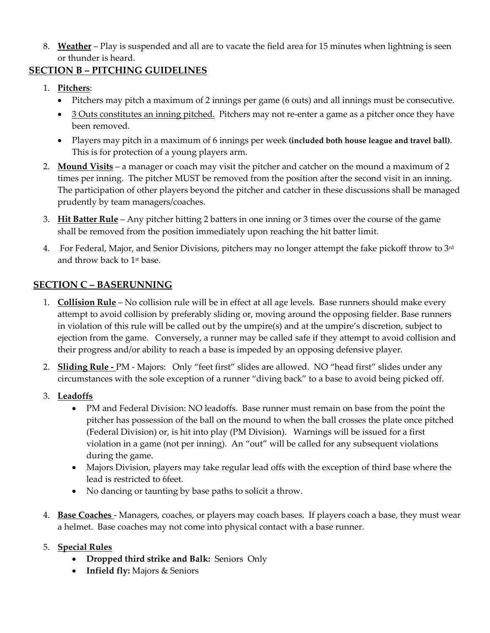8. **Weather** – Play is suspended and all are to vacate the field area for 15 minutes when lightning is seen or thunder is heard.

#### **SECTION B – PITCHING GUIDELINES**

- 1. **Pitchers**:
	- Pitchers may pitch a maximum of 2 innings per game (6 outs) and all innings must be consecutive.
	- 3 Outs constitutes an inning pitched. Pitchers may not re-enter a game as a pitcher once they have been removed.
	- Players may pitch in a maximum of 6 innings per week **(included both house league and travel ball)**. This is for protection of a young players arm.
- 2. **Mound Visits** a manager or coach may visit the pitcher and catcher on the mound a maximum of 2 times per inning. The pitcher MUST be removed from the position after the second visit in an inning. The participation of other players beyond the pitcher and catcher in these discussions shall be managed prudently by team managers/coaches.
- 3. **Hit Batter Rule** Any pitcher hitting 2 batters in one inning or 3 times over the course of the game shall be removed from the position immediately upon reaching the hit batter limit.
- 4. For Federal, Major, and Senior Divisions, pitchers may no longer attempt the fake pickoff throw to  $3<sup>rd</sup>$ and throw back to 1<sup>st</sup> base.

#### **SECTION C – BASERUNNING**

- 1. **Collision Rule** No collision rule will be in effect at all age levels. Base runners should make every attempt to avoid collision by preferably sliding or, moving around the opposing fielder. Base runners in violation of this rule will be called out by the umpire(s) and at the umpire's discretion, subject to ejection from the game. Conversely, a runner may be called safe if they attempt to avoid collision and their progress and/or ability to reach a base is impeded by an opposing defensive player.
- 2. **Sliding Rule -** PM Majors: Only "feet first" slides are allowed. NO "head first" slides under any circumstances with the sole exception of a runner "diving back" to a base to avoid being picked off.
- 3. **Leadoffs**
	- PM and Federal Division: NO leadoffs. Base runner must remain on base from the point the pitcher has possession of the ball on the mound to when the ball crosses the plate once pitched (Federal Division) or, is hit into play (PM Division). Warnings will be issued for a first violation in a game (not per inning). An "out" will be called for any subsequent violations during the game.
	- Majors Division, players may take regular lead offs with the exception of third base where the lead is restricted to 6feet.
	- No dancing or taunting by base paths to solicit a throw.
- 4. **Base Coaches**  Managers, coaches, or players may coach bases. If players coach a base, they must wear a helmet. Base coaches may not come into physical contact with a base runner.
- 5. **Special Rules**
	- **Dropped third strike and Balk:** SeniorsOnly
	- **Infield fly:** Majors & Seniors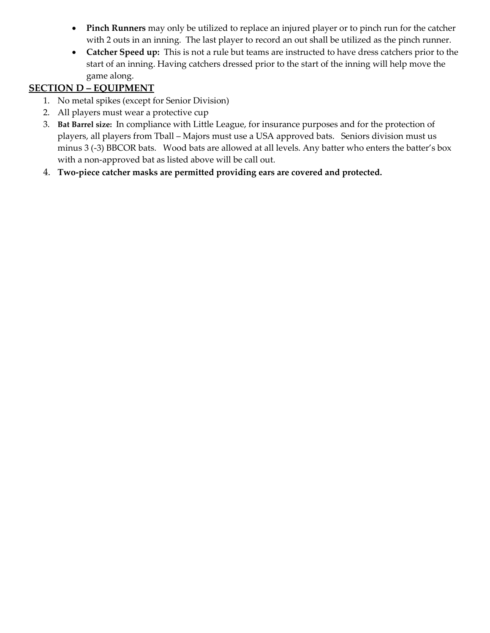- **Pinch Runners** may only be utilized to replace an injured player or to pinch run for the catcher with 2 outs in an inning. The last player to record an out shall be utilized as the pinch runner.
- **Catcher Speed up:** This is not a rule but teams are instructed to have dress catchers prior to the start of an inning. Having catchers dressed prior to the start of the inning will help move the game along.

### **SECTION D – EQUIPMENT**

- 1. No metal spikes (except for Senior Division)
- 2. All players must wear a protective cup
- 3. **Bat Barrel size:** In compliance with Little League, for insurance purposes and for the protection of players, all players from Tball – Majors must use a USA approved bats. Seniors division must us minus 3 (-3) BBCOR bats. Wood bats are allowed at all levels. Any batter who enters the batter's box with a non-approved bat as listed above will be call out.
- 4. **Two-piece catcher masks are permitted providing ears are covered and protected.**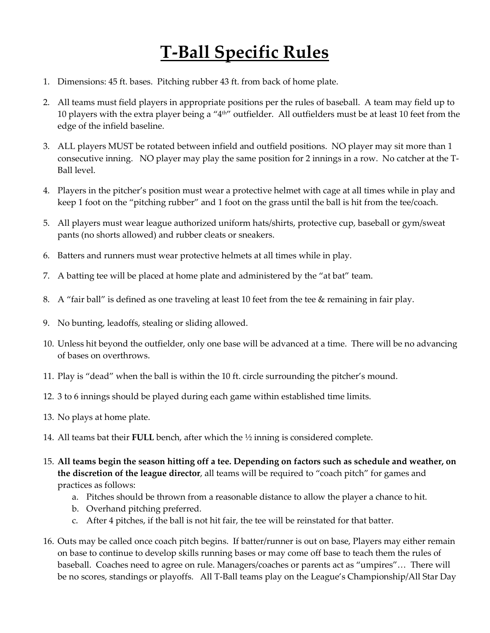# **T-Ball Specific Rules**

- 1. Dimensions: 45 ft. bases. Pitching rubber 43 ft. from back of home plate.
- 2. All teams must field players in appropriate positions per the rules of baseball. A team may field up to 10 players with the extra player being a "4th" outfielder. All outfielders must be at least 10 feet from the edge of the infield baseline.
- 3. ALL players MUST be rotated between infield and outfield positions. NO player may sit more than 1 consecutive inning. NO player may play the same position for 2 innings in a row. No catcher at the T-Ball level.
- 4. Players in the pitcher's position must wear a protective helmet with cage at all times while in play and keep 1 foot on the "pitching rubber" and 1 foot on the grass until the ball is hit from the tee/coach.
- 5. All players must wear league authorized uniform hats/shirts, protective cup, baseball or gym/sweat pants (no shorts allowed) and rubber cleats or sneakers.
- 6. Batters and runners must wear protective helmets at all times while in play.
- 7. A batting tee will be placed at home plate and administered by the "at bat" team.
- 8. A "fair ball" is defined as one traveling at least 10 feet from the tee & remaining in fair play.
- 9. No bunting, leadoffs, stealing or sliding allowed.
- 10. Unless hit beyond the outfielder, only one base will be advanced at a time. There will be no advancing of bases on overthrows.
- 11. Play is "dead" when the ball is within the 10 ft. circle surrounding the pitcher's mound.
- 12. 3 to 6 innings should be played during each game within established time limits.
- 13. No plays at home plate.
- 14. All teams bat their **FULL** bench, after which the ½ inning is considered complete.
- 15. **All teams begin the season hitting off a tee. Depending on factors such as schedule and weather, on the discretion of the league director**, all teams will be required to "coach pitch" for games and practices as follows:
	- a. Pitches should be thrown from a reasonable distance to allow the player a chance to hit.
	- b. Overhand pitching preferred.
	- c. After 4 pitches, if the ball is not hit fair, the tee will be reinstated for that batter.
- 16. Outs may be called once coach pitch begins. If batter/runner is out on base, Players may either remain on base to continue to develop skills running bases or may come off base to teach them the rules of baseball. Coaches need to agree on rule. Managers/coaches or parents act as "umpires"… There will be no scores, standings or playoffs. All T-Ball teams play on the League's Championship/All Star Day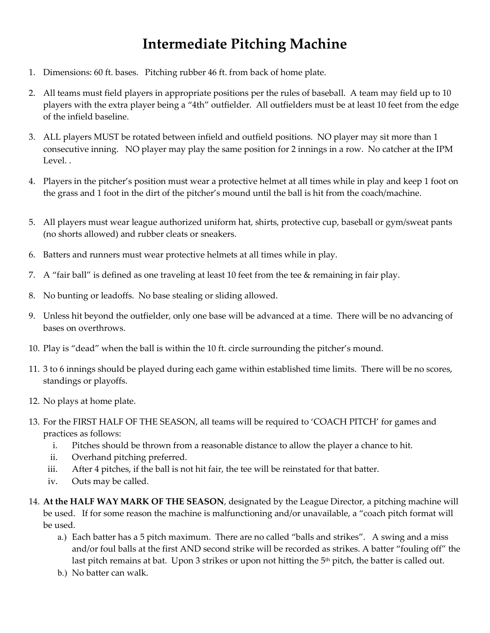### **Intermediate Pitching Machine**

- 1. Dimensions: 60 ft. bases. Pitching rubber 46 ft. from back of home plate.
- 2. All teams must field players in appropriate positions per the rules of baseball. A team may field up to 10 players with the extra player being a "4th" outfielder. All outfielders must be at least 10 feet from the edge of the infield baseline.
- 3. ALL players MUST be rotated between infield and outfield positions. NO player may sit more than 1 consecutive inning. NO player may play the same position for 2 innings in a row. No catcher at the IPM Level. .
- 4. Players in the pitcher's position must wear a protective helmet at all times while in play and keep 1 foot on the grass and 1 foot in the dirt of the pitcher's mound until the ball is hit from the coach/machine.
- 5. All players must wear league authorized uniform hat, shirts, protective cup, baseball or gym/sweat pants (no shorts allowed) and rubber cleats or sneakers.
- 6. Batters and runners must wear protective helmets at all times while in play.
- 7. A "fair ball" is defined as one traveling at least 10 feet from the tee & remaining in fair play.
- 8. No bunting or leadoffs. No base stealing or sliding allowed.
- 9. Unless hit beyond the outfielder, only one base will be advanced at a time. There will be no advancing of bases on overthrows.
- 10. Play is "dead" when the ball is within the 10 ft. circle surrounding the pitcher's mound.
- 11. 3 to 6 innings should be played during each game within established time limits. There will be no scores, standings or playoffs.
- 12. No plays at home plate.
- 13. For the FIRST HALF OF THE SEASON, all teams will be required to 'COACH PITCH' for games and practices as follows:
	- i. Pitches should be thrown from a reasonable distance to allow the player a chance to hit.
	- ii. Overhand pitching preferred.
	- iii. After 4 pitches, if the ball is not hit fair, the tee will be reinstated for that batter.
	- iv. Outs may be called.
- 14. **At the HALF WAY MARK OF THE SEASON**, designated by the League Director, a pitching machine will be used. If for some reason the machine is malfunctioning and/or unavailable, a "coach pitch format will be used.
	- a.) Each batter has a 5 pitch maximum. There are no called "balls and strikes". A swing and a miss and/or foul balls at the first AND second strike will be recorded as strikes. A batter "fouling off" the last pitch remains at bat. Upon 3 strikes or upon not hitting the 5<sup>th</sup> pitch, the batter is called out.
	- b.) No batter can walk.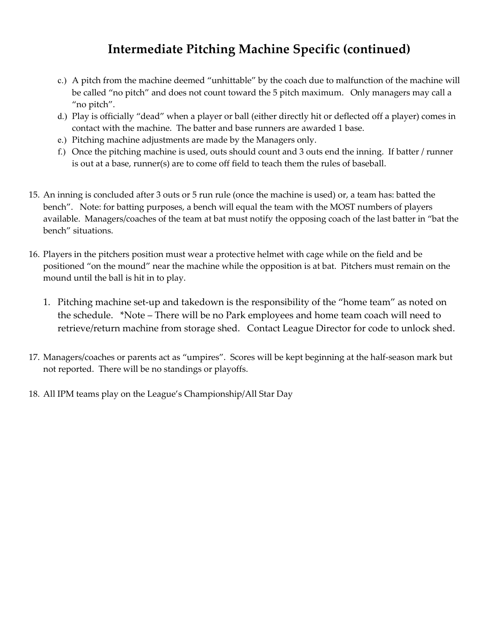### **Intermediate Pitching Machine Specific (continued)**

- c.) A pitch from the machine deemed "unhittable" by the coach due to malfunction of the machine will be called "no pitch" and does not count toward the 5 pitch maximum. Only managers may call a "no pitch".
- d.) Play is officially "dead" when a player or ball (either directly hit or deflected off a player) comes in contact with the machine. The batter and base runners are awarded 1 base.
- e.) Pitching machine adjustments are made by the Managers only.
- f.) Once the pitching machine is used, outs should count and 3 outs end the inning. If batter / runner is out at a base, runner(s) are to come off field to teach them the rules of baseball.
- 15. An inning is concluded after 3 outs or 5 run rule (once the machine is used) or, a team has: batted the bench". Note: for batting purposes, a bench will equal the team with the MOST numbers of players available. Managers/coaches of the team at bat must notify the opposing coach of the last batter in "bat the bench" situations.
- 16. Players in the pitchers position must wear a protective helmet with cage while on the field and be positioned "on the mound" near the machine while the opposition is at bat. Pitchers must remain on the mound until the ball is hit in to play.
	- 1. Pitching machine set-up and takedown is the responsibility of the "home team" as noted on the schedule. \*Note – There will be no Park employees and home team coach will need to retrieve/return machine from storage shed. Contact League Director for code to unlock shed.
- 17. Managers/coaches or parents act as "umpires". Scores will be kept beginning at the half-season mark but not reported. There will be no standings or playoffs.
- 18. All IPM teams play on the League's Championship/All Star Day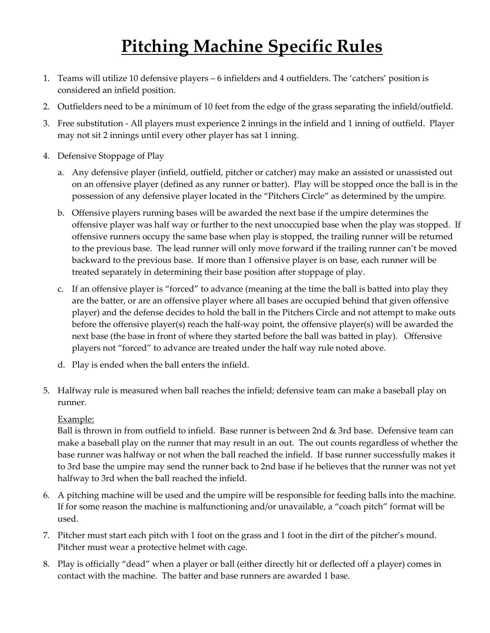## **Pitching Machine Specific Rules**

- 1. Teams will utilize 10 defensive players 6 infielders and 4 outfielders. The 'catchers' position is considered an infield position.
- 2. Outfielders need to be a minimum of 10 feet from the edge of the grass separating the infield/outfield.
- 3. Free substitution All players must experience 2 innings in the infield and 1 inning of outfield. Player may not sit 2 innings until every other player has sat 1 inning.
- 4. Defensive Stoppage of Play
	- a. Any defensive player (infield, outfield, pitcher or catcher) may make an assisted or unassisted out on an offensive player (defined as any runner or batter). Play will be stopped once the ball is in the possession of any defensive player located in the "Pitchers Circle" as determined by the umpire.
	- b. Offensive players running bases will be awarded the next base if the umpire determines the offensive player was half way or further to the next unoccupied base when the play was stopped. If offensive runners occupy the same base when play is stopped, the trailing runner will be returned to the previous base. The lead runner will only move forward if the trailing runner can't be moved backward to the previous base. If more than 1 offensive player is on base, each runner will be treated separately in determining their base position after stoppage of play.
	- c. If an offensive player is "forced" to advance (meaning at the time the ball is batted into play they are the batter, or are an offensive player where all bases are occupied behind that given offensive player) and the defense decides to hold the ball in the Pitchers Circle and not attempt to make outs before the offensive player(s) reach the half-way point, the offensive player(s) will be awarded the next base (the base in front of where they started before the ball was batted in play). Offensive players not "forced" to advance are treated under the half way rule noted above.
	- d. Play is ended when the ball enters the infield.
- 5. Halfway rule is measured when ball reaches the infield; defensive team can make a baseball play on runner.

#### Example:

Ball is thrown in from outfield to infield. Base runner is between 2nd & 3rd base. Defensive team can make a baseball play on the runner that may result in an out. The out counts regardless of whether the base runner was halfway or not when the ball reached the infield. If base runner successfully makes it to 3rd base the umpire may send the runner back to 2nd base if he believes that the runner was not yet halfway to 3rd when the ball reached the infield.

- 6. A pitching machine will be used and the umpire will be responsible for feeding balls into the machine. If for some reason the machine is malfunctioning and/or unavailable, a "coach pitch" format will be used.
- 7. Pitcher must start each pitch with 1 foot on the grass and 1 foot in the dirt of the pitcher's mound. Pitcher must wear a protective helmet with cage.
- 8. Play is officially "dead" when a player or ball (either directly hit or deflected off a player) comes in contact with the machine. The batter and base runners are awarded 1 base.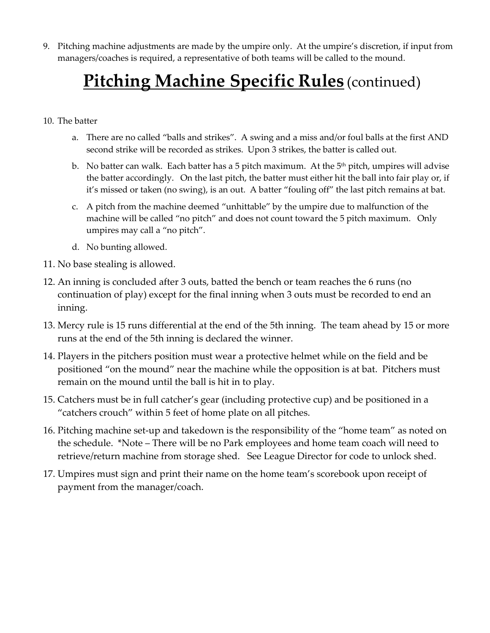9. Pitching machine adjustments are made by the umpire only. At the umpire's discretion, if input from managers/coaches is required, a representative of both teams will be called to the mound.

## **Pitching Machine Specific Rules** (continued)

- 10. The batter
	- a. There are no called "balls and strikes". A swing and a miss and/or foul balls at the first AND second strike will be recorded as strikes. Upon 3 strikes, the batter is called out.
	- b. No batter can walk. Each batter has a 5 pitch maximum. At the  $5<sup>th</sup>$  pitch, umpires will advise the batter accordingly. On the last pitch, the batter must either hit the ball into fair play or, if it's missed or taken (no swing), is an out. A batter "fouling off" the last pitch remains at bat.
	- c. A pitch from the machine deemed "unhittable" by the umpire due to malfunction of the machine will be called "no pitch" and does not count toward the 5 pitch maximum. Only umpires may call a "no pitch".
	- d. No bunting allowed.
- 11. No base stealing is allowed.
- 12. An inning is concluded after 3 outs, batted the bench or team reaches the 6 runs (no continuation of play) except for the final inning when 3 outs must be recorded to end an inning.
- 13. Mercy rule is 15 runs differential at the end of the 5th inning. The team ahead by 15 or more runs at the end of the 5th inning is declared the winner.
- 14. Players in the pitchers position must wear a protective helmet while on the field and be positioned "on the mound" near the machine while the opposition is at bat. Pitchers must remain on the mound until the ball is hit in to play.
- 15. Catchers must be in full catcher's gear (including protective cup) and be positioned in a "catchers crouch" within 5 feet of home plate on all pitches.
- 16. Pitching machine set-up and takedown is the responsibility of the "home team" as noted on the schedule. \*Note – There will be no Park employees and home team coach will need to retrieve/return machine from storage shed. See League Director for code to unlock shed.
- 17. Umpires must sign and print their name on the home team's scorebook upon receipt of payment from the manager/coach.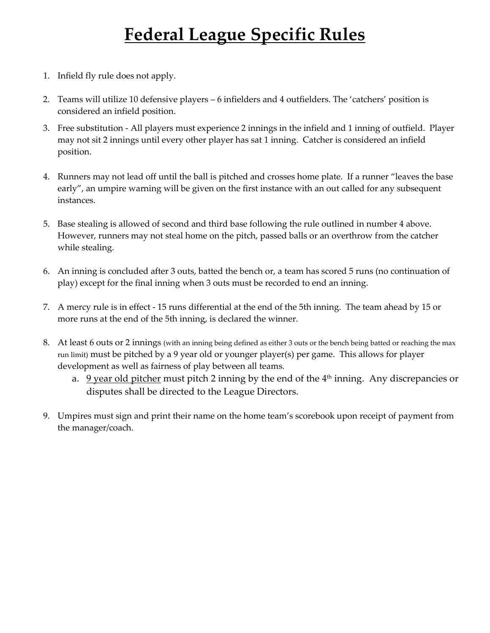## **Federal League Specific Rules**

- 1. Infield fly rule does not apply.
- 2. Teams will utilize 10 defensive players 6 infielders and 4 outfielders. The 'catchers' position is considered an infield position.
- 3. Free substitution All players must experience 2 innings in the infield and 1 inning of outfield. Player may not sit 2 innings until every other player has sat 1 inning. Catcher is considered an infield position.
- 4. Runners may not lead off until the ball is pitched and crosses home plate. If a runner "leaves the base early", an umpire warning will be given on the first instance with an out called for any subsequent instances.
- 5. Base stealing is allowed of second and third base following the rule outlined in number 4 above. However, runners may not steal home on the pitch, passed balls or an overthrow from the catcher while stealing.
- 6. An inning is concluded after 3 outs, batted the bench or, a team has scored 5 runs (no continuation of play) except for the final inning when 3 outs must be recorded to end an inning.
- 7. A mercy rule is in effect 15 runs differential at the end of the 5th inning. The team ahead by 15 or more runs at the end of the 5th inning, is declared the winner.
- 8. At least 6 outs or 2 innings (with an inning being defined as either 3 outs or the bench being batted or reaching the max run limit) must be pitched by a 9 year old or younger player(s) per game. This allows for player development as well as fairness of play between all teams.
	- a.  $9$  year old pitcher must pitch 2 inning by the end of the  $4<sup>th</sup>$  inning. Any discrepancies or disputes shall be directed to the League Directors.
- 9. Umpires must sign and print their name on the home team's scorebook upon receipt of payment from the manager/coach.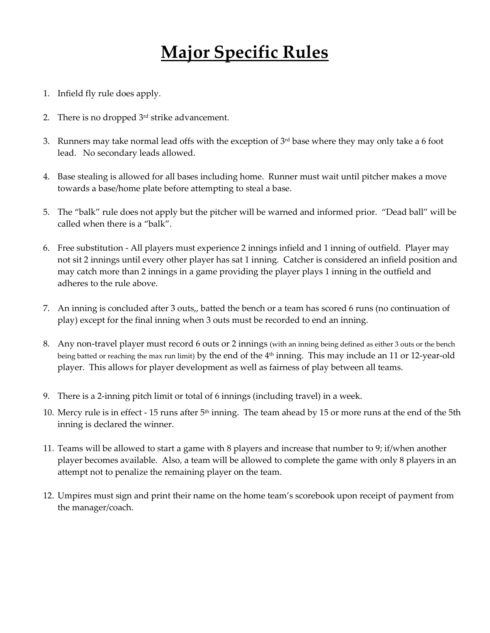## **Major Specific Rules**

- 1. Infield fly rule does apply.
- 2. There is no dropped  $3<sup>rd</sup>$  strike advancement.
- 3. Runners may take normal lead offs with the exception of  $3<sup>rd</sup>$  base where they may only take a 6 foot lead. No secondary leads allowed.
- 4. Base stealing is allowed for all bases including home. Runner must wait until pitcher makes a move towards a base/home plate before attempting to steal a base.
- 5. The "balk" rule does not apply but the pitcher will be warned and informed prior. "Dead ball" will be called when there is a "balk".
- 6. Free substitution All players must experience 2 innings infield and 1 inning of outfield. Player may not sit 2 innings until every other player has sat 1 inning. Catcher is considered an infield position and may catch more than 2 innings in a game providing the player plays 1 inning in the outfield and adheres to the rule above.
- 7. An inning is concluded after 3 outs,, batted the bench or a team has scored 6 runs (no continuation of play) except for the final inning when 3 outs must be recorded to end an inning.
- 8. Any non-travel player must record 6 outs or 2 innings (with an inning being defined as either 3 outs or the bench being batted or reaching the max run limit) by the end of the 4<sup>th</sup> inning. This may include an 11 or 12-year-old player. This allows for player development as well as fairness of play between all teams.
- 9. There is a 2-inning pitch limit or total of 6 innings (including travel) in a week.
- 10. Mercy rule is in effect 15 runs after 5th inning. The team ahead by 15 or more runs at the end of the 5th inning is declared the winner.
- 11. Teams will be allowed to start a game with 8 players and increase that number to 9; if/when another player becomes available. Also, a team will be allowed to complete the game with only 8 players in an attempt not to penalize the remaining player on the team.
- 12. Umpires must sign and print their name on the home team's scorebook upon receipt of payment from the manager/coach.